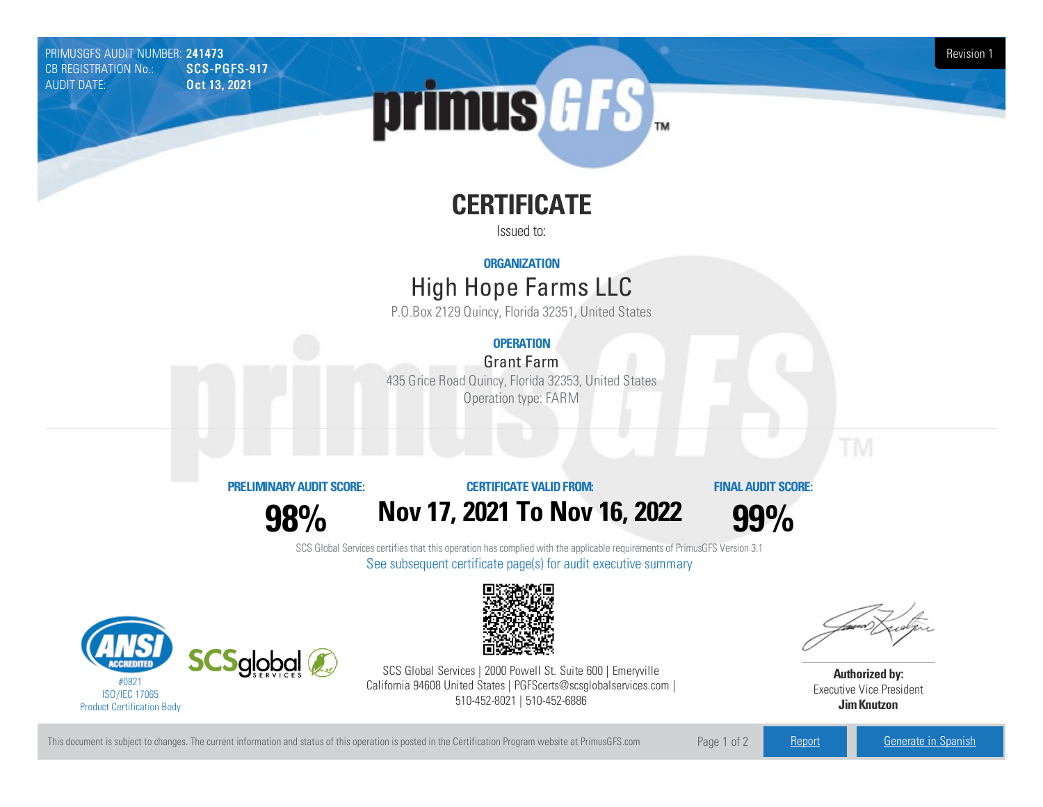PRIMUSGFS AUDIT NUMBER: 241473 Revision 1<br>CB REGISTRATION No.: SCS-PGFS-917 Revision 1 CB REGISTRATION No.: AUDIT DATE: **Oct 13, 2021** 



# **CERTIFICATE**

Issued to:

#### **ORGANIZATION**

## High Hope FarmsLLC

P.O.Box 2129 Quincy, Florida 32351, United States

### **OPERATION**

**Grant Farm** 435 Grice Road Quincy, Florida 32353, United States Operation type: FARM

#### **PRELIMINARYAUDIT SCORE:**

**98%**

### **CERTIFICATE VALIDFROM: Nov17, 2021 To Nov16, 2022**

**FINAL AUDIT SCORE:**

**99%**

SCS Global Services certifies that this operation has complied with the applicable requirements of PrimusGFS Version 3.1 See subsequent certificate page(s) for audit executive summary





SCS Global Services | 2000 Powell St. Suite 600 | Emeryville California 94608 United States | PGFScerts@scsglobalservices.com | 510-452-8021 | 510-452-6886



**Authorized by:** Executive Vice President **JimKnutzon**

This document is subject to changes. The current information and status of this operation is posted in the Certification Program website at PrimusGFS.com Page 1 of 2 [Report](https://secure.azzule.com/PGFSDocuments/PGFS_AuditReport241473_3109_1_EN.pdf) [Generate](https://secure.azzule.com/PrimusGFSAudits/pdfGenerator.aspx?AuditHeaderID=85702640762426228964667260824881268425990&AppId=56583034218&LanguageID=1&UserId=1) in Spanish